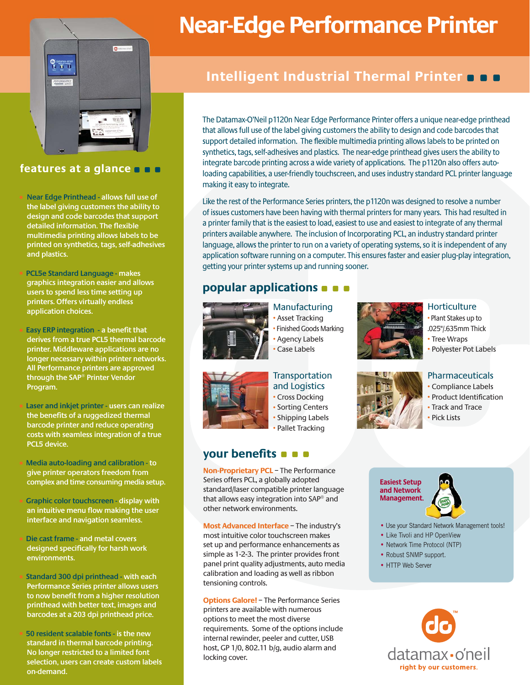

# **features at a glance**

• **Near Edge Printhead - allows full use of the label giving customers the ability to design and code barcodes that support detailed information. The flexible multimedia printing allows labels to be printed on synthetics, tags, self-adhesives and plastics.**

• **PCL5e Standard Language - makes graphics integration easier and allows users to spend less time setting up printers. Offers virtually endless application choices.**

• **Easy ERP integration - a benefit that derives from a true PCL5 thermal barcode printer. Middleware applications are no longer necessary within printer networks. All Performance printers are approved through the SAP® Printer Vendor Program.**

• **Laser and inkjet printer - users can realize the benefits of a ruggedized thermal barcode printer and reduce operating costs with seamless integration of a true PCL5 device.**

• **Media auto-loading and calibration - to give printer operators freedom from complex and time consuming media setup.**

• **Graphic color touchscreen - display with an intuitive menu flow making the user interface and navigation seamless.**

• **Die cast frame - and metal covers designed specifically for harsh work environments.**

• **Standard 300 dpi printhead - with each Performance Series printer allows users to now benefit from a higher resolution printhead with better text, images and barcodes at a 203 dpi printhead price.**

• **50 resident scalable fonts - is the new standard in thermal barcode printing. No longer restricted to a limited font selection, users can create custom labels on-demand.**

# **Near-Edge Performance Printer**

# **Intelligent Industrial Thermal Printer**

The Datamax-O'Neil p1120n Near Edge Performance Printer offers a unique near-edge printhead that allows full use of the label giving customers the ability to design and code barcodes that support detailed information. The flexible multimedia printing allows labels to be printed on synthetics, tags, self-adhesives and plastics. The near-edge printhead gives users the ability to integrate barcode printing across a wide variety of applications. The p1120n also offers autoloading capabilities, a user-friendly touchscreen, and uses industry standard PCL printer language making it easy to integrate.

Like the rest of the Performance Series printers, the p1120n was designed to resolve a number of issues customers have been having with thermal printers for many years. This had resulted in a printer family that is the easiest to load, easiest to use and easiest to integrate of any thermal printers available anywhere. The inclusion of Incorporating PCL, an industry standard printer language, allows the printer to run on a variety of operating systems, so it is independent of any application software running on a computer. This ensures faster and easier plug-play integration, getting your printer systems up and running sooner.

# **popular applications**



Manufacturing • Asset Tracking • Finished Goods Marking • Agency Labels Case Labels



• Plant Stakes up to .025"/.635mm Thick • Tree Wraps • Polyester Pot Labels

**Horticulture** 



**Transportation** and Logistics • Cross Docking • Sorting Centers • Shipping Labels

• Pallet Tracking

# **your benefits**

**Non-Proprietary PCL** – The Performance Series offers PCL, a globally adopted standard/laser compatible printer language that allows easy integration into SAP® and other network environments.

**Most Advanced Interface** – The industry's most intuitive color touchscreen makes set up and performance enhancements as simple as 1-2-3. The printer provides front panel print quality adjustments, auto media calibration and loading as well as ribbon tensioning controls.

**Options Galore!** – The Performance Series printers are available with numerous options to meet the most diverse requirements. Some of the options include internal rewinder, peeler and cutter, USB host, GP 1/0, 802.11 b/g, audio alarm and locking cover.



## Pharmaceuticals

- Compliance Labels
- Product Identification
- Track and Trace
- Pick Lists

**Easiest Setup and Network Management.**



- Use your Standard Network Management tools!
- Like Tivoli and HP OpenView
- Network Time Protocol (NTP)
- Robust SNMP support.
- HTTP Web Server